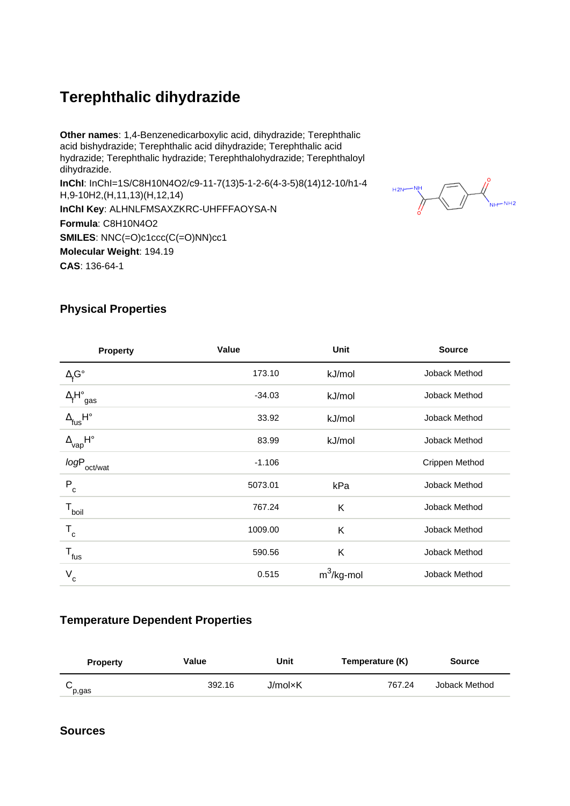# **Terephthalic dihydrazide**

**Other names**: 1,4-Benzenedicarboxylic acid, dihydrazide; Terephthalic acid bishydrazide; Terephthalic acid dihydrazide; Terephthalic acid hydrazide; Terephthalic hydrazide; Terephthalohydrazide; Terephthaloyl dihydrazide. **InChI**: InChI=1S/C8H10N4O2/c9-11-7(13)5-1-2-6(4-3-5)8(14)12-10/h1-4 H,9-10H2,(H,11,13)(H,12,14) **InChI Key**: ALHNLFMSAXZKRC-UHFFFAOYSA-N **Formula**: C8H10N4O2 **SMILES: NNC(=O)c1ccc(C(=O)NN)cc1 Molecular Weight**: 194.19 **CAS**: 136-64-1



### **Physical Properties**

| <b>Property</b>                              | Value    | Unit          | <b>Source</b>  |
|----------------------------------------------|----------|---------------|----------------|
| $\Delta_{\text{f}}\text{G}^{\circ}$          | 173.10   | kJ/mol        | Joback Method  |
| $\Delta_f H^\circ_{\text{ gas}}$             | $-34.03$ | kJ/mol        | Joback Method  |
| $\Delta_{\mathsf{fus}}\mathsf{H}^\circ$      | 33.92    | kJ/mol        | Joback Method  |
| $\Delta_{\mathsf{vap}}\mathsf{H}^\mathsf{o}$ | 83.99    | kJ/mol        | Joback Method  |
| $logP_{\rm oct/wat}$                         | $-1.106$ |               | Crippen Method |
| $\mathsf{P}_{\rm c}$                         | 5073.01  | kPa           | Joback Method  |
| $T_{\text{boil}}$                            | 767.24   | K             | Joback Method  |
| $T_c$                                        | 1009.00  | K             | Joback Method  |
| $T_{\mathsf{fus}}$                           | 590.56   | K             | Joback Method  |
| $\mathsf{V}_{\mathsf{c}}$                    | 0.515    | $m^3$ /kg-mol | Joback Method  |

#### **Temperature Dependent Properties**

| <b>Property</b> | Value  | Unit    | Temperature (K) | <b>Source</b> |
|-----------------|--------|---------|-----------------|---------------|
| p,gas           | 392.16 | J/mol×K | 767.24          | Joback Method |

#### **Sources**